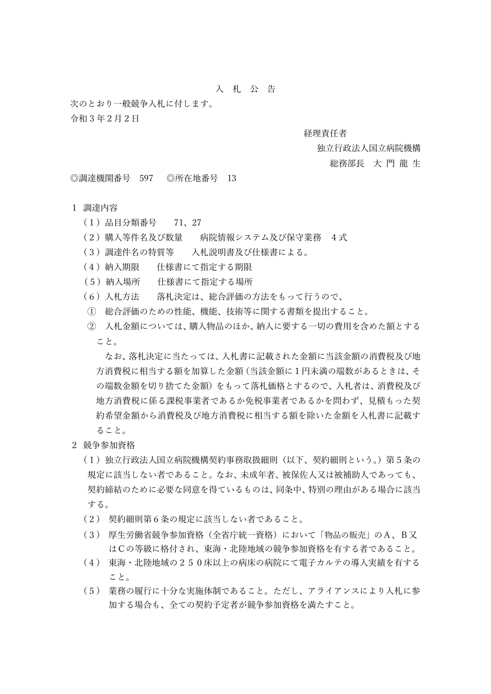## 入 札 公 告

次のとおり一般競争入札に付します。 令和 3 年2月2日

## 経理責任者

## 独立行政法人国立病院機構

総務部長 大 門 龍 生

◎調達機関番号 597 ◎所在地番号 13

## 1 調達内容

- (1)品目分類番号 71、27
- (2)購入等件名及び数量 病院情報システム及び保守業務 4式
- (3)調達件名の特質等 入札説明書及び仕様書による。
- (4)納入期限 仕様書にて指定する期限
- (5)納入場所 仕様書にて指定する場所
- (6)入札方法 落札決定は、総合評価の方法をもって行うので、
- ① 総合評価のための性能、機能、技術等に関する書類を提出すること。
- ② 入札金額については、購入物品のほか、納入に要する一切の費用を含めた額とする こと。

なお、落札決定に当たっては、入札書に記載された金額に当該金額の消費税及び地 方消費税に相当する額を加算した金額(当該金額に1円未満の端数があるときは、そ の端数金額を切り捨てた金額)をもって落札価格とするので、入札者は、消費税及び 地方消費税に係る課税事業者であるか免税事業者であるかを問わず、見積もった契 約希望金額から消費税及び地方消費税に相当する額を除いた金額を入札書に記載す ること。

- 2 競争参加資格
	- (1)独立行政法人国立病院機構契約事務取扱細則(以下、契約細則という。)第5条の 規定に該当しない者であること。なお、未成年者、被保佐人又は被補助人であっても、 契約締結のために必要な同意を得ているものは、同条中、特別の理由がある場合に該当 する。
	- (2) 契約細則第6条の規定に該当しない者であること。
	- (3) 厚生労働省競争参加資格(全省庁統一資格)において「物品の販売」のA、B又 はCの等級に格付され、東海・北陸地域の競争参加資格を有する者であること。
	- (4) 東海・北陸地域の250床以上の病床の病院にて電子カルテの導入実績を有する こと。
	- (5) 業務の履行に十分な実施体制であること。ただし、アライアンスにより入札に参 加する場合も、全ての契約予定者が競争参加資格を満たすこと。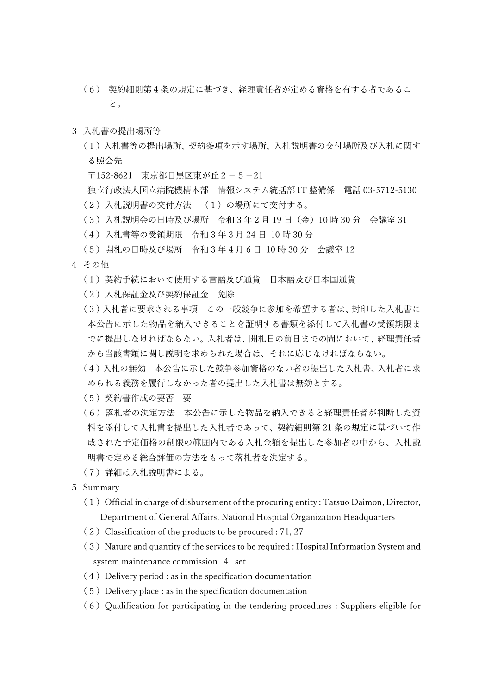- (6) 契約細則第4条の規定に基づき、経理責任者が定める資格を有する者であるこ と。
- 3 入札書の提出場所等
	- (1)入札書等の提出場所、契約条項を示す場所、入札説明書の交付場所及び入札に関す る照会先

〒152-8621 東京都目黒区東が丘2-5-21

独立行政法人国立病院機構本部 情報システム統括部 IT 整備係 電話 03-5712-5130 (2)入札説明書の交付方法 (1)の場所にて交付する。

- (3)入札説明会の日時及び場所 令和 3 年 2 月 19 日(金)10 時 30 分 会議室 31
- (4)入札書等の受領期限 令和 3 年 3 月 24 日 10 時 30 分
- (5)開札の日時及び場所 令和 3 年 4 月 6 日 10 時 30 分 会議室 12
- 4 その他
	- (1)契約手続において使用する言語及び通貨 日本語及び日本国通貨
	- (2)入札保証金及び契約保証金 免除
	- (3)入札者に要求される事項 この一般競争に参加を希望する者は、封印した入札書に 本公告に示した物品を納入できることを証明する書類を添付して入札書の受領期限ま でに提出しなければならない。入札者は、開札日の前日までの間において、経理責任者 から当該書類に関し説明を求められた場合は、それに応じなければならない。
	- (4)入札の無効 本公告に示した競争参加資格のない者の提出した入札書、入札者に求 められる義務を履行しなかった者の提出した入札書は無効とする。
	- (5)契約書作成の要否 要
	- (6)落札者の決定方法 本公告に示した物品を納入できると経理責任者が判断した資 料を添付して入札書を提出した入札者であって、契約細則第 21 条の規定に基づいて作 成された予定価格の制限の範囲内である入札金額を提出した参加者の中から、入札説 明書で定める総合評価の方法をもって落札者を決定する。
	- (7)詳細は入札説明書による。
- 5 Summary
	- $(1)$  Official in charge of disbursement of the procuring entity : Tatsuo Daimon, Director, Department of General Affairs, National Hospital Organization Headquarters
	- $(2)$  Classification of the products to be procured : 71, 27
	- (3) Nature and quantity of the services to be required : Hospital Information System and system maintenance commission 4 set
	- $(4)$  Delivery period : as in the specification documentation
	- $(5)$  Delivery place : as in the specification documentation
	- $(6)$  Qualification for participating in the tendering procedures : Suppliers eligible for